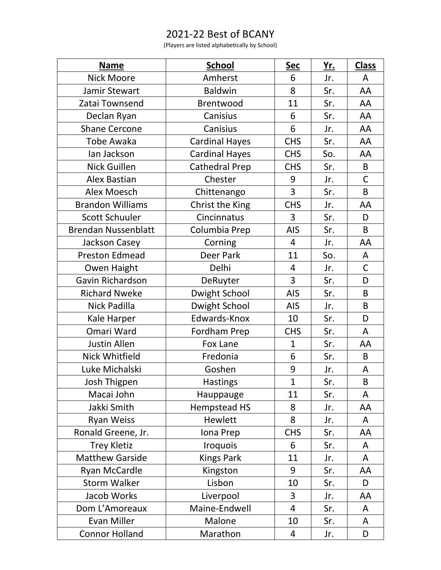## 2021-22 Best of BCANY

(Players are listed alphabetically by School)

| <b>Name</b>                | <b>School</b>         | <b>Sec</b>     | <u>Yr.</u> | <b>Class</b> |
|----------------------------|-----------------------|----------------|------------|--------------|
| <b>Nick Moore</b>          | Amherst               | 6              | Jr.        | A            |
| Jamir Stewart              | <b>Baldwin</b>        | 8              | Sr.        | AA           |
| Zatai Townsend             | Brentwood             | 11             | Sr.        | AA           |
| Declan Ryan                | Canisius              | 6              | Sr.        | AA           |
| <b>Shane Cercone</b>       | Canisius              | 6              | Jr.        | AA           |
| <b>Tobe Awaka</b>          | <b>Cardinal Hayes</b> | <b>CHS</b>     | Sr.        | AA           |
| lan Jackson                | <b>Cardinal Hayes</b> | <b>CHS</b>     | So.        | AA           |
| <b>Nick Guillen</b>        | <b>Cathedral Prep</b> | <b>CHS</b>     | Sr.        | B            |
| <b>Alex Bastian</b>        | Chester               | 9              | Jr.        | $\mathsf C$  |
| <b>Alex Moesch</b>         | Chittenango           | $\overline{3}$ | Sr.        | B            |
| <b>Brandon Williams</b>    | Christ the King       | <b>CHS</b>     | Jr.        | AA           |
| <b>Scott Schuuler</b>      | Cincinnatus           | 3              | Sr.        | D            |
| <b>Brendan Nussenblatt</b> | Columbia Prep         | <b>AIS</b>     | Sr.        | B            |
| Jackson Casey              | Corning               | 4              | Jr.        | AA           |
| <b>Preston Edmead</b>      | <b>Deer Park</b>      | 11             | So.        | A            |
| Owen Haight                | Delhi                 | 4              | Jr.        | $\mathsf C$  |
| Gavin Richardson           | DeRuyter              | 3              | Sr.        | D            |
| <b>Richard Nweke</b>       | Dwight School         | <b>AIS</b>     | Sr.        | B            |
| Nick Padilla               | Dwight School         | <b>AIS</b>     | Jr.        | B            |
| Kale Harper                | Edwards-Knox          | 10             | Sr.        | D            |
| Omari Ward                 | Fordham Prep          | <b>CHS</b>     | Sr.        | A            |
| <b>Justin Allen</b>        | Fox Lane              | $\mathbf 1$    | Sr.        | AA           |
| <b>Nick Whitfield</b>      | Fredonia              | 6              | Sr.        | B            |
| Luke Michalski             | Goshen                | 9              | Jr.        | A            |
| Josh Thigpen               | <b>Hastings</b>       | $\mathbf 1$    | Sr.        | $\sf B$      |
| Macai John                 | Hauppauge             | 11             | Sr.        | A            |
| Jakki Smith                | Hempstead HS          | 8              | Jr.        | AA           |
| <b>Ryan Weiss</b>          | Hewlett               | 8              | Jr.        | A            |
| Ronald Greene, Jr.         | Iona Prep             | <b>CHS</b>     | Sr.        | AA           |
| <b>Trey Kletiz</b>         | <b>Iroquois</b>       | 6              | Sr.        | A            |
| <b>Matthew Garside</b>     | <b>Kings Park</b>     | 11             | Jr.        | A            |
| Ryan McCardle              | Kingston              | 9              | Sr.        | AA           |
| <b>Storm Walker</b>        | Lisbon                | 10             | Sr.        | D            |
| Jacob Works                | Liverpool             | 3              | Jr.        | AA           |
| Dom L'Amoreaux             | Maine-Endwell         | $\overline{4}$ | Sr.        | A            |
| <b>Evan Miller</b>         | Malone                | 10             | Sr.        | A            |
| <b>Connor Holland</b>      | Marathon              | 4              | Jr.        | D            |